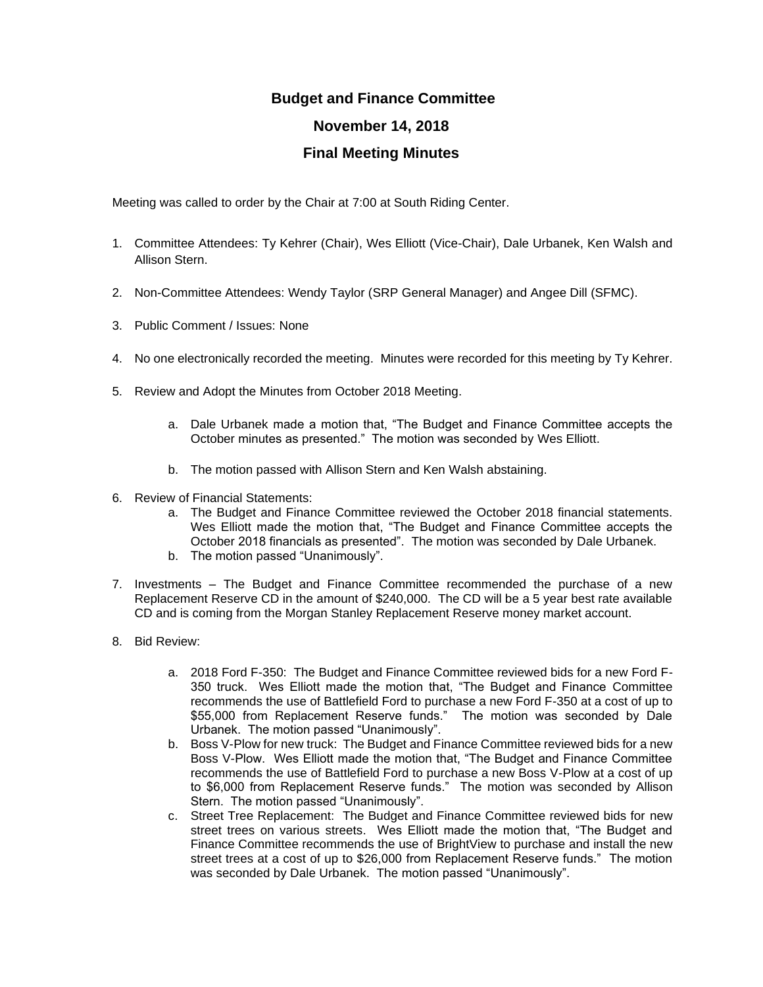## **Budget and Finance Committee November 14, 2018 Final Meeting Minutes**

Meeting was called to order by the Chair at 7:00 at South Riding Center.

- 1. Committee Attendees: Ty Kehrer (Chair), Wes Elliott (Vice-Chair), Dale Urbanek, Ken Walsh and Allison Stern.
- 2. Non-Committee Attendees: Wendy Taylor (SRP General Manager) and Angee Dill (SFMC).
- 3. Public Comment / Issues: None
- 4. No one electronically recorded the meeting. Minutes were recorded for this meeting by Ty Kehrer.
- 5. Review and Adopt the Minutes from October 2018 Meeting.
	- a. Dale Urbanek made a motion that, "The Budget and Finance Committee accepts the October minutes as presented." The motion was seconded by Wes Elliott.
	- b. The motion passed with Allison Stern and Ken Walsh abstaining.
- 6. Review of Financial Statements:
	- a. The Budget and Finance Committee reviewed the October 2018 financial statements. Wes Elliott made the motion that, "The Budget and Finance Committee accepts the October 2018 financials as presented". The motion was seconded by Dale Urbanek.
	- b. The motion passed "Unanimously".
- 7. Investments The Budget and Finance Committee recommended the purchase of a new Replacement Reserve CD in the amount of \$240,000. The CD will be a 5 year best rate available CD and is coming from the Morgan Stanley Replacement Reserve money market account.
- 8. Bid Review:
	- a. 2018 Ford F-350: The Budget and Finance Committee reviewed bids for a new Ford F-350 truck. Wes Elliott made the motion that, "The Budget and Finance Committee recommends the use of Battlefield Ford to purchase a new Ford F-350 at a cost of up to \$55,000 from Replacement Reserve funds." The motion was seconded by Dale Urbanek. The motion passed "Unanimously".
	- b. Boss V-Plow for new truck: The Budget and Finance Committee reviewed bids for a new Boss V-Plow. Wes Elliott made the motion that, "The Budget and Finance Committee recommends the use of Battlefield Ford to purchase a new Boss V-Plow at a cost of up to \$6,000 from Replacement Reserve funds." The motion was seconded by Allison Stern. The motion passed "Unanimously".
	- c. Street Tree Replacement: The Budget and Finance Committee reviewed bids for new street trees on various streets. Wes Elliott made the motion that, "The Budget and Finance Committee recommends the use of BrightView to purchase and install the new street trees at a cost of up to \$26,000 from Replacement Reserve funds." The motion was seconded by Dale Urbanek. The motion passed "Unanimously".